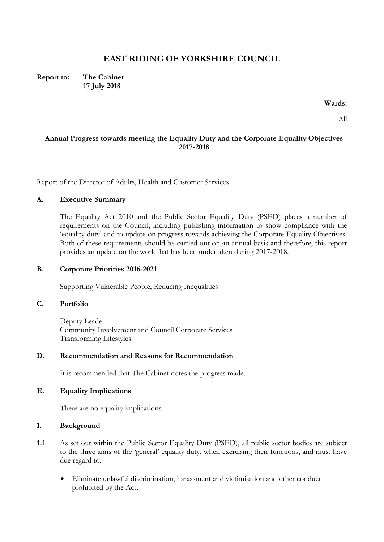# **EAST RIDING OF YORKSHIRE COUNCIL**

**Report to: The Cabinet 17 July 2018**

**Wards:**

All

### **Annual Progress towards meeting the Equality Duty and the Corporate Equality Objectives 2017-2018**

Report of the Director of Adults, Health and Customer Services

#### **A. Executive Summary**

The Equality Act 2010 and the Public Sector Equality Duty (PSED) places a number of requirements on the Council, including publishing information to show compliance with the 'equality duty' and to update on progress towards achieving the Corporate Equality Objectives. Both of these requirements should be carried out on an annual basis and therefore, this report provides an update on the work that has been undertaken during 2017-2018.

#### **B. Corporate Priorities 2016-2021**

Supporting Vulnerable People, Reducing Inequalities

#### **C. Portfolio**

Deputy Leader Community Involvement and Council Corporate Services Transforming Lifestyles

#### **D. Recommendation and Reasons for Recommendation**

It is recommended that The Cabinet notes the progress made.

## **E. Equality Implications**

There are no equality implications.

#### **1. Background**

- 1.1 As set out within the Public Sector Equality Duty (PSED), all public sector bodies are subject to the three aims of the 'general' equality duty, when exercising their functions, and must have due regard to:
	- Eliminate unlawful discrimination, harassment and victimisation and other conduct prohibited by the Act;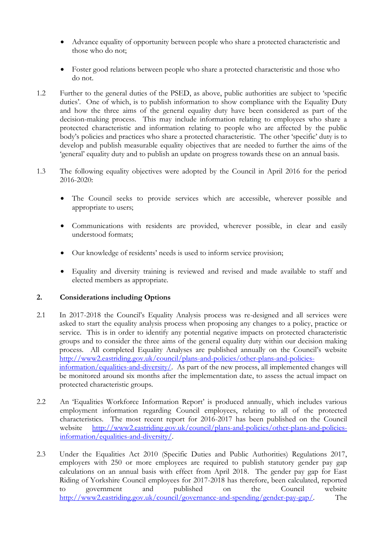- Advance equality of opportunity between people who share a protected characteristic and those who do not;
- Foster good relations between people who share a protected characteristic and those who do not.
- 1.2 Further to the general duties of the PSED, as above, public authorities are subject to 'specific duties'. One of which, is to publish information to show compliance with the Equality Duty and how the three aims of the general equality duty have been considered as part of the decision-making process. This may include information relating to employees who share a protected characteristic and information relating to people who are affected by the public body's policies and practices who share a protected characteristic. The other 'specific' duty is to develop and publish measurable equality objectives that are needed to further the aims of the 'general' equality duty and to publish an update on progress towards these on an annual basis.
- 1.3 The following equality objectives were adopted by the Council in April 2016 for the period 2016-2020:
	- The Council seeks to provide services which are accessible, wherever possible and appropriate to users;
	- Communications with residents are provided, wherever possible, in clear and easily understood formats;
	- Our knowledge of residents' needs is used to inform service provision;
	- Equality and diversity training is reviewed and revised and made available to staff and elected members as appropriate.

# **2. Considerations including Options**

- 2.1 In 2017-2018 the Council's Equality Analysis process was re-designed and all services were asked to start the equality analysis process when proposing any changes to a policy, practice or service. This is in order to identify any potential negative impacts on protected characteristic groups and to consider the three aims of the general equality duty within our decision making process. All completed Equality Analyses are published annually on the Council's website [http://www2.eastriding.gov.uk/council/plans-and-policies/other-plans-and-policies](http://www2.eastriding.gov.uk/council/plans-and-policies/other-plans-and-policies-information/equalities-and-diversity/)[information/equalities-and-diversity/.](http://www2.eastriding.gov.uk/council/plans-and-policies/other-plans-and-policies-information/equalities-and-diversity/) As part of the new process, all implemented changes will be monitored around six months after the implementation date, to assess the actual impact on protected characteristic groups.
- 2.2 An 'Equalities Workforce Information Report' is produced annually, which includes various employment information regarding Council employees, relating to all of the protected characteristics. The most recent report for 2016-2017 has been published on the Council website [http://www2.eastriding.gov.uk/council/plans-and-policies/other-plans-and-policies](http://www2.eastriding.gov.uk/council/plans-and-policies/other-plans-and-policies-information/equalities-and-diversity/)[information/equalities-and-diversity/.](http://www2.eastriding.gov.uk/council/plans-and-policies/other-plans-and-policies-information/equalities-and-diversity/)
- 2.3 Under the Equalities Act 2010 (Specific Duties and Public Authorities) Regulations 2017, employers with 250 or more employees are required to publish statutory gender pay gap calculations on an annual basis with effect from April 2018. The gender pay gap for East Riding of Yorkshire Council employees for 2017-2018 has therefore, been calculated, reported to government and published on the Council website [http://www2.eastriding.gov.uk/council/governance-and-spending/gender-pay-gap/.](http://www2.eastriding.gov.uk/council/governance-and-spending/gender-pay-gap/) The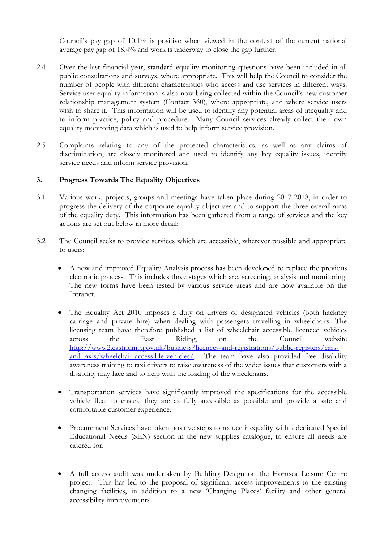Council's pay gap of 10.1% is positive when viewed in the context of the current national average pay gap of 18.4% and work is underway to close the gap further.

- 2.4 Over the last financial year, standard equality monitoring questions have been included in all public consultations and surveys, where appropriate. This will help the Council to consider the number of people with different characteristics who access and use services in different ways. Service user equality information is also now being collected within the Council's new customer relationship management system (Contact 360), where appropriate, and where service users wish to share it. This information will be used to identify any potential areas of inequality and to inform practice, policy and procedure. Many Council services already collect their own equality monitoring data which is used to help inform service provision.
- 2.5 Complaints relating to any of the protected characteristics, as well as any claims of discrimination, are closely monitored and used to identify any key equality issues, identify service needs and inform service provision.

## **3. Progress Towards The Equality Objectives**

- 3.1 Various work, projects, groups and meetings have taken place during 2017-2018, in order to progress the delivery of the corporate equality objectives and to support the three overall aims of the equality duty. This information has been gathered from a range of services and the key actions are set out below in more detail:
- 3.2 The Council seeks to provide services which are accessible, wherever possible and appropriate to users:
	- A new and improved Equality Analysis process has been developed to replace the previous electronic process. This includes three stages which are, screening, analysis and monitoring. The new forms have been tested by various service areas and are now available on the Intranet.
	- The Equality Act 2010 imposes a duty on drivers of designated vehicles (both hackney carriage and private hire) when dealing with passengers travelling in wheelchairs. The licensing team have therefore published a list of wheelchair accessible licenced vehicles across the East Riding, on the Council website [http://www2.eastriding.gov.uk/business/licences-and-registrations/public-registers/cars](http://www2.eastriding.gov.uk/business/licences-and-registrations/public-registers/cars-and-taxis/wheelchair-accessible-vehicles/)[and-taxis/wheelchair-accessible-vehicles/.](http://www2.eastriding.gov.uk/business/licences-and-registrations/public-registers/cars-and-taxis/wheelchair-accessible-vehicles/) The team have also provided free disability awareness training to taxi drivers to raise awareness of the wider issues that customers with a disability may face and to help with the loading of the wheelchairs.
	- Transportation services have significantly improved the specifications for the accessible vehicle fleet to ensure they are as fully accessible as possible and provide a safe and comfortable customer experience.
	- Procurement Services have taken positive steps to reduce inequality with a dedicated Special Educational Needs (SEN) section in the new supplies catalogue, to ensure all needs are catered for.
	- A full access audit was undertaken by Building Design on the Hornsea Leisure Centre project. This has led to the proposal of significant access improvements to the existing changing facilities, in addition to a new 'Changing Places' facility and other general accessibility improvements.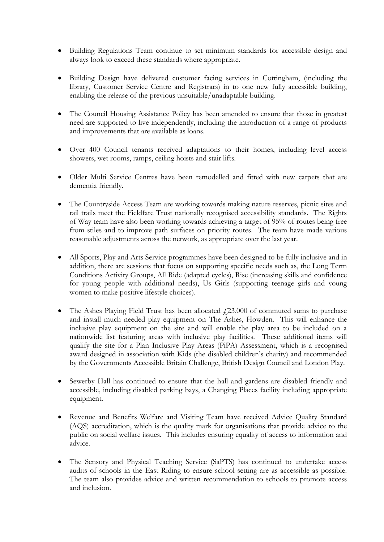- Building Regulations Team continue to set minimum standards for accessible design and always look to exceed these standards where appropriate.
- Building Design have delivered customer facing services in Cottingham, (including the library, Customer Service Centre and Registrars) in to one new fully accessible building, enabling the release of the previous unsuitable/unadaptable building.
- The Council Housing Assistance Policy has been amended to ensure that those in greatest need are supported to live independently, including the introduction of a range of products and improvements that are available as loans.
- Over 400 Council tenants received adaptations to their homes, including level access showers, wet rooms, ramps, ceiling hoists and stair lifts.
- Older Multi Service Centres have been remodelled and fitted with new carpets that are dementia friendly.
- The Countryside Access Team are working towards making nature reserves, picnic sites and rail trails meet the Fieldfare Trust nationally recognised accessibility standards. The Rights of Way team have also been working towards achieving a target of 95% of routes being free from stiles and to improve path surfaces on priority routes. The team have made various reasonable adjustments across the network, as appropriate over the last year.
- All Sports, Play and Arts Service programmes have been designed to be fully inclusive and in addition, there are sessions that focus on supporting specific needs such as, the Long Term Conditions Activity Groups, All Ride (adapted cycles), Rise (increasing skills and confidence for young people with additional needs), Us Girls (supporting teenage girls and young women to make positive lifestyle choices).
- The Ashes Playing Field Trust has been allocated  $\text{\textsterling}23,000$  of commuted sums to purchase and install much needed play equipment on The Ashes, Howden. This will enhance the inclusive play equipment on the site and will enable the play area to be included on a nationwide list featuring areas with inclusive play facilities. These additional items will qualify the site for a Plan Inclusive Play Areas (PiPA) Assessment, which is a recognised award designed in association with Kids (the disabled children's charity) and recommended by the Governments Accessible Britain Challenge, British Design Council and London Play.
- Sewerby Hall has continued to ensure that the hall and gardens are disabled friendly and accessible, including disabled parking bays, a Changing Places facility including appropriate equipment.
- Revenue and Benefits Welfare and Visiting Team have received Advice Quality Standard (AQS) accreditation, which is the quality mark for organisations that provide advice to the public on social welfare issues. This includes ensuring equality of access to information and advice.
- The Sensory and Physical Teaching Service (SaPTS) has continued to undertake access audits of schools in the East Riding to ensure school setting are as accessible as possible. The team also provides advice and written recommendation to schools to promote access and inclusion.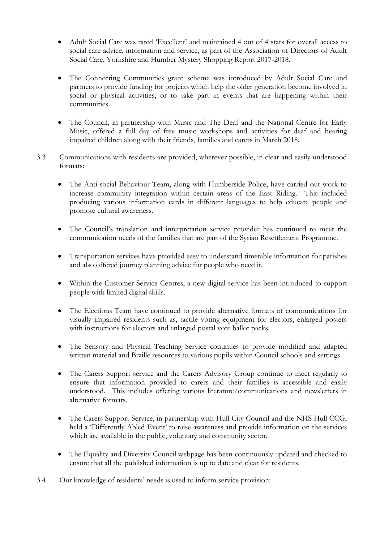- Adult Social Care was rated 'Excellent' and maintained 4 out of 4 stars for overall access to social care advice, information and service, as part of the Association of Directors of Adult Social Care, Yorkshire and Humber Mystery Shopping Report 2017-2018.
- The Connecting Communities grant scheme was introduced by Adult Social Care and partners to provide funding for projects which help the older generation become involved in social or physical activities, or to take part in events that are happening within their communities.
- The Council, in partnership with Music and The Deaf and the National Centre for Early Music, offered a full day of free music workshops and activities for deaf and hearing impaired children along with their friends, families and carers in March 2018.
- 3.3 Communications with residents are provided, wherever possible, in clear and easily understood formats:
	- The Anti-social Behaviour Team, along with Humberside Police, have carried out work to increase community integration within certain areas of the East Riding. This included producing various information cards in different languages to help educate people and promote cultural awareness.
	- The Council's translation and interpretation service provider has continued to meet the communication needs of the families that are part of the Syrian Resettlement Programme.
	- Transportation services have provided easy to understand timetable information for parishes and also offered journey planning advice for people who need it.
	- Within the Customer Service Centres, a new digital service has been introduced to support people with limited digital skills.
	- The Elections Team have continued to provide alternative formats of communications for visually impaired residents such as, tactile voting equipment for electors, enlarged posters with instructions for electors and enlarged postal vote ballot packs.
	- The Sensory and Physical Teaching Service continues to provide modified and adapted written material and Braille resources to various pupils within Council schools and settings.
	- The Carers Support service and the Carers Advisory Group continue to meet regularly to ensure that information provided to carers and their families is accessible and easily understood. This includes offering various literature/communications and newsletters in alternative formats.
	- The Carers Support Service, in partnership with Hull City Council and the NHS Hull CCG, held a 'Differently Abled Event' to raise awareness and provide information on the services which are available in the public, voluntary and community sector.
	- The Equality and Diversity Council webpage has been continuously updated and checked to ensure that all the published information is up to date and clear for residents.
- 3.4 Our knowledge of residents' needs is used to inform service provision: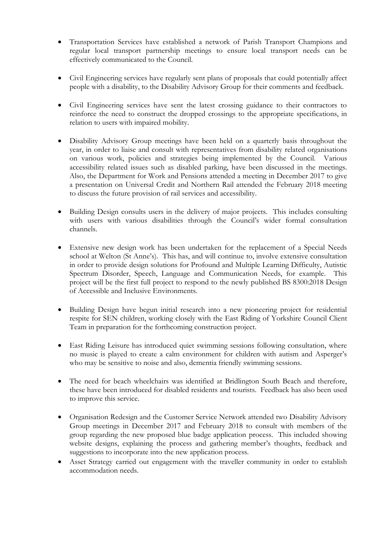- Transportation Services have established a network of Parish Transport Champions and regular local transport partnership meetings to ensure local transport needs can be effectively communicated to the Council.
- Civil Engineering services have regularly sent plans of proposals that could potentially affect people with a disability, to the Disability Advisory Group for their comments and feedback.
- Civil Engineering services have sent the latest crossing guidance to their contractors to reinforce the need to construct the dropped crossings to the appropriate specifications, in relation to users with impaired mobility.
- Disability Advisory Group meetings have been held on a quarterly basis throughout the year, in order to liaise and consult with representatives from disability related organisations on various work, policies and strategies being implemented by the Council. Various accessibility related issues such as disabled parking, have been discussed in the meetings. Also, the Department for Work and Pensions attended a meeting in December 2017 to give a presentation on Universal Credit and Northern Rail attended the February 2018 meeting to discuss the future provision of rail services and accessibility.
- Building Design consults users in the delivery of major projects. This includes consulting with users with various disabilities through the Council's wider formal consultation channels.
- Extensive new design work has been undertaken for the replacement of a Special Needs school at Welton (St Anne's). This has, and will continue to, involve extensive consultation in order to provide design solutions for Profound and Multiple Learning Difficulty, Autistic Spectrum Disorder, Speech, Language and Communication Needs, for example. This project will be the first full project to respond to the newly published BS 8300:2018 Design of Accessible and Inclusive Environments.
- Building Design have begun initial research into a new pioneering project for residential respite for SEN children, working closely with the East Riding of Yorkshire Council Client Team in preparation for the forthcoming construction project.
- East Riding Leisure has introduced quiet swimming sessions following consultation, where no music is played to create a calm environment for children with autism and Asperger's who may be sensitive to noise and also, dementia friendly swimming sessions.
- The need for beach wheelchairs was identified at Bridlington South Beach and therefore, these have been introduced for disabled residents and tourists. Feedback has also been used to improve this service.
- Organisation Redesign and the Customer Service Network attended two Disability Advisory Group meetings in December 2017 and February 2018 to consult with members of the group regarding the new proposed blue badge application process. This included showing website designs, explaining the process and gathering member's thoughts, feedback and suggestions to incorporate into the new application process.
- Asset Strategy carried out engagement with the traveller community in order to establish accommodation needs.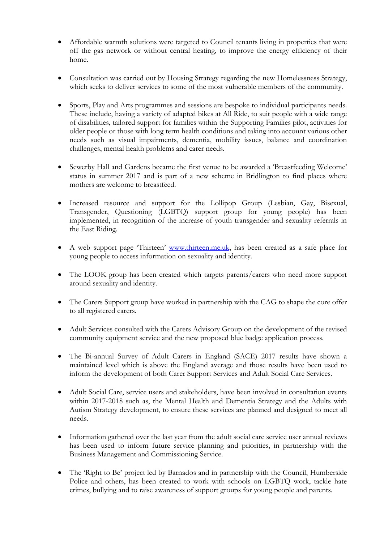- Affordable warmth solutions were targeted to Council tenants living in properties that were off the gas network or without central heating, to improve the energy efficiency of their home.
- Consultation was carried out by Housing Strategy regarding the new Homelessness Strategy, which seeks to deliver services to some of the most vulnerable members of the community.
- Sports, Play and Arts programmes and sessions are bespoke to individual participants needs. These include, having a variety of adapted bikes at All Ride, to suit people with a wide range of disabilities, tailored support for families within the Supporting Families pilot, activities for older people or those with long term health conditions and taking into account various other needs such as visual impairments, dementia, mobility issues, balance and coordination challenges, mental health problems and carer needs.
- Sewerby Hall and Gardens became the first venue to be awarded a 'Breastfeeding Welcome' status in summer 2017 and is part of a new scheme in Bridlington to find places where mothers are welcome to breastfeed.
- Increased resource and support for the Lollipop Group (Lesbian, Gay, Bisexual, Transgender, Questioning (LGBTQ) support group for young people) has been implemented, in recognition of the increase of youth transgender and sexuality referrals in the East Riding.
- A web support page 'Thirteen' [www.thirteen.me.uk,](http://www.thirteen.me.uk/) has been created as a safe place for young people to access information on sexuality and identity.
- The LOOK group has been created which targets parents/carers who need more support around sexuality and identity.
- The Carers Support group have worked in partnership with the CAG to shape the core offer to all registered carers.
- Adult Services consulted with the Carers Advisory Group on the development of the revised community equipment service and the new proposed blue badge application process.
- The Bi-annual Survey of Adult Carers in England (SACE) 2017 results have shown a maintained level which is above the England average and those results have been used to inform the development of both Carer Support Services and Adult Social Care Services.
- Adult Social Care, service users and stakeholders, have been involved in consultation events within 2017-2018 such as, the Mental Health and Dementia Strategy and the Adults with Autism Strategy development, to ensure these services are planned and designed to meet all needs.
- Information gathered over the last year from the adult social care service user annual reviews has been used to inform future service planning and priorities, in partnership with the Business Management and Commissioning Service.
- The 'Right to Be' project led by Barnados and in partnership with the Council, Humberside Police and others, has been created to work with schools on LGBTQ work, tackle hate crimes, bullying and to raise awareness of support groups for young people and parents.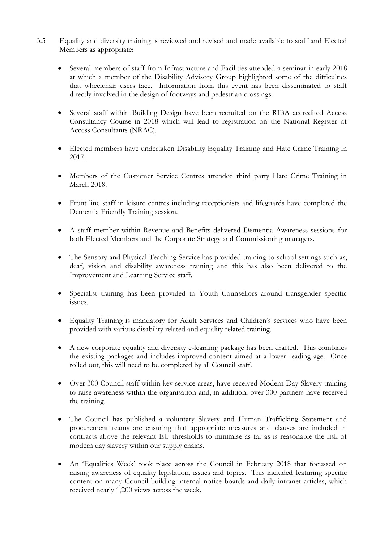- 3.5 Equality and diversity training is reviewed and revised and made available to staff and Elected Members as appropriate:
	- Several members of staff from Infrastructure and Facilities attended a seminar in early 2018 at which a member of the Disability Advisory Group highlighted some of the difficulties that wheelchair users face. Information from this event has been disseminated to staff directly involved in the design of footways and pedestrian crossings.
	- Several staff within Building Design have been recruited on the RIBA accredited Access Consultancy Course in 2018 which will lead to registration on the National Register of Access Consultants (NRAC).
	- Elected members have undertaken Disability Equality Training and Hate Crime Training in 2017.
	- Members of the Customer Service Centres attended third party Hate Crime Training in March 2018.
	- Front line staff in leisure centres including receptionists and lifeguards have completed the Dementia Friendly Training session.
	- A staff member within Revenue and Benefits delivered Dementia Awareness sessions for both Elected Members and the Corporate Strategy and Commissioning managers.
	- The Sensory and Physical Teaching Service has provided training to school settings such as, deaf, vision and disability awareness training and this has also been delivered to the Improvement and Learning Service staff.
	- Specialist training has been provided to Youth Counsellors around transgender specific issues.
	- Equality Training is mandatory for Adult Services and Children's services who have been provided with various disability related and equality related training.
	- A new corporate equality and diversity e-learning package has been drafted. This combines the existing packages and includes improved content aimed at a lower reading age. Once rolled out, this will need to be completed by all Council staff.
	- Over 300 Council staff within key service areas, have received Modern Day Slavery training to raise awareness within the organisation and, in addition, over 300 partners have received the training.
	- The Council has published a voluntary Slavery and Human Trafficking Statement and procurement teams are ensuring that appropriate measures and clauses are included in contracts above the relevant EU thresholds to minimise as far as is reasonable the risk of modern day slavery within our supply chains.
	- An 'Equalities Week' took place across the Council in February 2018 that focussed on raising awareness of equality legislation, issues and topics. This included featuring specific content on many Council building internal notice boards and daily intranet articles, which received nearly 1,200 views across the week.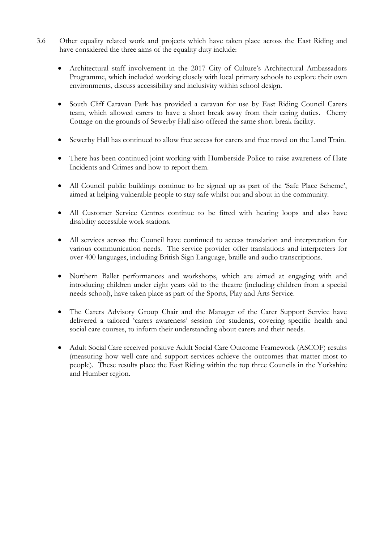- 3.6 Other equality related work and projects which have taken place across the East Riding and have considered the three aims of the equality duty include:
	- Architectural staff involvement in the 2017 City of Culture's Architectural Ambassadors Programme, which included working closely with local primary schools to explore their own environments, discuss accessibility and inclusivity within school design.
	- South Cliff Caravan Park has provided a caravan for use by East Riding Council Carers team, which allowed carers to have a short break away from their caring duties. Cherry Cottage on the grounds of Sewerby Hall also offered the same short break facility.
	- Sewerby Hall has continued to allow free access for carers and free travel on the Land Train.
	- There has been continued joint working with Humberside Police to raise awareness of Hate Incidents and Crimes and how to report them.
	- All Council public buildings continue to be signed up as part of the 'Safe Place Scheme', aimed at helping vulnerable people to stay safe whilst out and about in the community.
	- All Customer Service Centres continue to be fitted with hearing loops and also have disability accessible work stations.
	- All services across the Council have continued to access translation and interpretation for various communication needs. The service provider offer translations and interpreters for over 400 languages, including British Sign Language, braille and audio transcriptions.
	- Northern Ballet performances and workshops, which are aimed at engaging with and introducing children under eight years old to the theatre (including children from a special needs school), have taken place as part of the Sports, Play and Arts Service.
	- The Carers Advisory Group Chair and the Manager of the Carer Support Service have delivered a tailored 'carers awareness' session for students, covering specific health and social care courses, to inform their understanding about carers and their needs.
	- Adult Social Care received positive Adult Social Care Outcome Framework (ASCOF) results (measuring how well care and support services achieve the outcomes that matter most to people). These results place the East Riding within the top three Councils in the Yorkshire and Humber region.